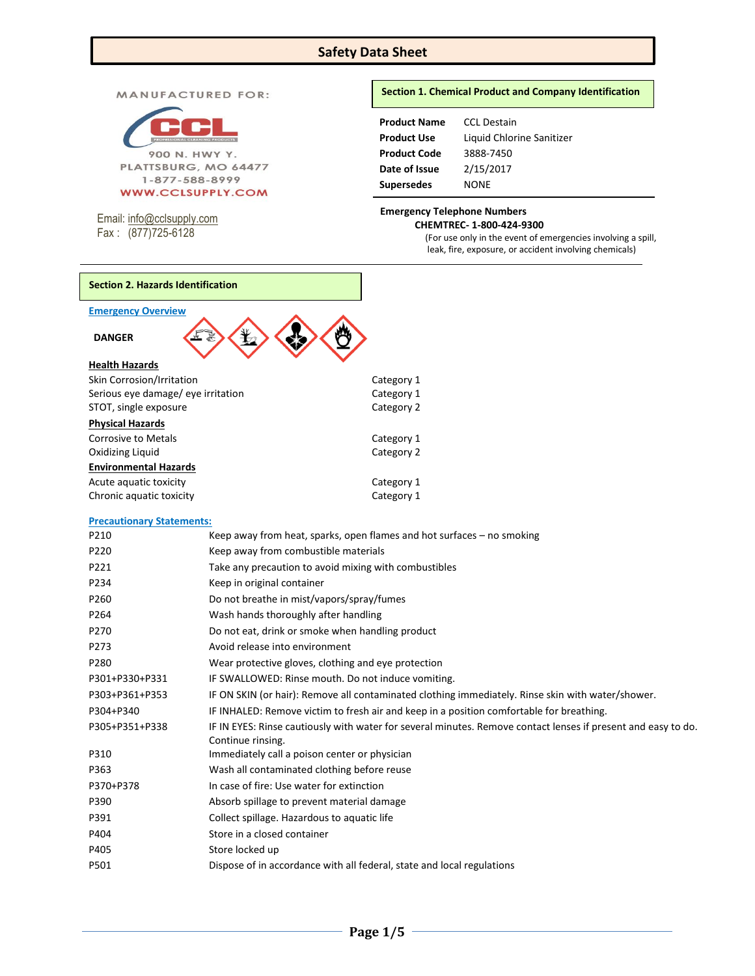# **Safety Data Sheet**

MANUFACTURED FOR:



Email: [info@cclsupply.com](mailto:info@cclsupply.com) Fax : (877)725-6128

### **Section 1. Chemical Product and Company Identification**

| <b>CCL Destain</b>        |
|---------------------------|
| Liquid Chlorine Sanitizer |
| 3888-7450                 |
| 2/15/2017                 |
| NONE                      |
|                           |

#### **Emergency Telephone Numbers CHEMTREC- 1-800-424-9300**

(For use only in the event of emergencies involving a spill, leak, fire, exposure, or accident involving chemicals)

# **Section 2. Hazards Identification**

| <b>DANGER</b>         |  |
|-----------------------|--|
| <b>Health Hazards</b> |  |

| Skin Corrosion/Irritation          | Category 1 |
|------------------------------------|------------|
| Serious eye damage/ eye irritation | Category 1 |
| STOT, single exposure              | Category 2 |
| <b>Physical Hazards</b>            |            |
| Corrosive to Metals                | Category 1 |
| Oxidizing Liquid                   | Category 2 |
| <b>Environmental Hazards</b>       |            |
| Acute aquatic toxicity             | Category 1 |
| Chronic aquatic toxicity           | Category 1 |
|                                    |            |

## **Precautionary Statements:**

| P210           | Keep away from heat, sparks, open flames and hot surfaces – no smoking                                                             |
|----------------|------------------------------------------------------------------------------------------------------------------------------------|
| P220           | Keep away from combustible materials                                                                                               |
| P221           | Take any precaution to avoid mixing with combustibles                                                                              |
| P234           | Keep in original container                                                                                                         |
| P260           | Do not breathe in mist/vapors/spray/fumes                                                                                          |
| P264           | Wash hands thoroughly after handling                                                                                               |
| P270           | Do not eat, drink or smoke when handling product                                                                                   |
| P273           | Avoid release into environment                                                                                                     |
| P280           | Wear protective gloves, clothing and eye protection                                                                                |
| P301+P330+P331 | IF SWALLOWED: Rinse mouth. Do not induce vomiting.                                                                                 |
| P303+P361+P353 | IF ON SKIN (or hair): Remove all contaminated clothing immediately. Rinse skin with water/shower.                                  |
| P304+P340      | IF INHALED: Remove victim to fresh air and keep in a position comfortable for breathing.                                           |
| P305+P351+P338 | IF IN EYES: Rinse cautiously with water for several minutes. Remove contact lenses if present and easy to do.<br>Continue rinsing. |
| P310           | Immediately call a poison center or physician                                                                                      |
| P363           | Wash all contaminated clothing before reuse                                                                                        |
| P370+P378      | In case of fire: Use water for extinction                                                                                          |
| P390           | Absorb spillage to prevent material damage                                                                                         |
| P391           | Collect spillage. Hazardous to aquatic life                                                                                        |
| P404           | Store in a closed container                                                                                                        |
| P405           | Store locked up                                                                                                                    |
| P501           | Dispose of in accordance with all federal, state and local regulations                                                             |
|                |                                                                                                                                    |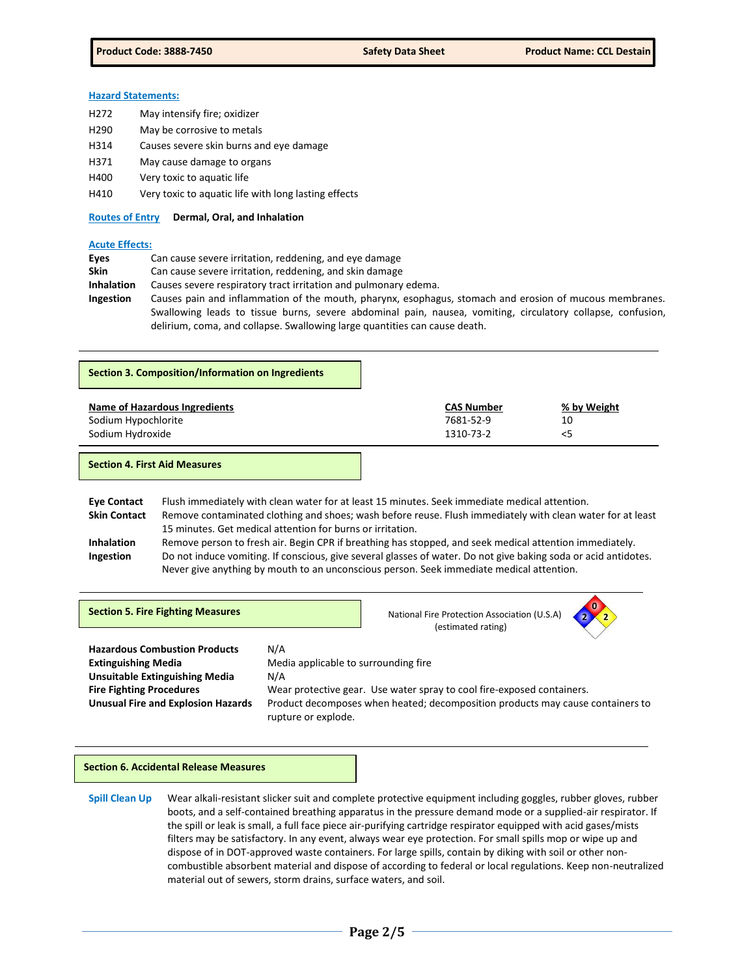## **Hazard Statements:**

- H272 May intensify fire; oxidizer
- H290 May be corrosive to metals
- H314 Causes severe skin burns and eye damage
- H371 May cause damage to organs
- H400 Very toxic to aquatic life
- H410 Very toxic to aquatic life with long lasting effects

**Routes of Entry Dermal, Oral, and Inhalation** 

#### **Acute Effects:**

| Eyes              | Can cause severe irritation, reddening, and eye damage                                                      |
|-------------------|-------------------------------------------------------------------------------------------------------------|
| <b>Skin</b>       | Can cause severe irritation, reddening, and skin damage                                                     |
| <b>Inhalation</b> | Causes severe respiratory tract irritation and pulmonary edema.                                             |
| Ingestion         | Causes pain and inflammation of the mouth, pharynx, esophagus, stomach and erosion of mucous membranes.     |
|                   | Swallowing leads to tissue burns, severe abdominal pain, nausea, vomiting, circulatory collapse, confusion, |
|                   | delirium, coma, and collapse. Swallowing large quantities can cause death.                                  |

| Section 3. Composition/Information on Ingredients |                   |             |
|---------------------------------------------------|-------------------|-------------|
| Name of Hazardous Ingredients                     | <b>CAS Number</b> | % by Weight |
| Sodium Hypochlorite                               | 7681-52-9         | 10          |
| Sodium Hydroxide                                  | 1310-73-2         | <5          |

| <b>Eve Contact</b>  | Flush immediately with clean water for at least 15 minutes. Seek immediate medical attention.                   |
|---------------------|-----------------------------------------------------------------------------------------------------------------|
| <b>Skin Contact</b> | Remove contaminated clothing and shoes; wash before reuse. Flush immediately with clean water for at least      |
|                     | 15 minutes. Get medical attention for burns or irritation.                                                      |
| <b>Inhalation</b>   | Remove person to fresh air. Begin CPR if breathing has stopped, and seek medical attention immediately.         |
| Ingestion           | Do not induce vomiting. If conscious, give several glasses of water. Do not give baking soda or acid antidotes. |
|                     | Never give anything by mouth to an unconscious person. Seek immediate medical attention.                        |

| <b>Section 5. Fire Fighting Measures</b>  |                                                                                                       | National Fire Protection Association (U.S.A)<br>(estimated rating) | $\bullet$ |
|-------------------------------------------|-------------------------------------------------------------------------------------------------------|--------------------------------------------------------------------|-----------|
| <b>Hazardous Combustion Products</b>      | N/A                                                                                                   |                                                                    |           |
| <b>Extinguishing Media</b>                | Media applicable to surrounding fire                                                                  |                                                                    |           |
| <b>Unsuitable Extinguishing Media</b>     | N/A                                                                                                   |                                                                    |           |
| <b>Fire Fighting Procedures</b>           | Wear protective gear. Use water spray to cool fire-exposed containers.                                |                                                                    |           |
| <b>Unusual Fire and Explosion Hazards</b> | Product decomposes when heated; decomposition products may cause containers to<br>rupture or explode. |                                                                    |           |

#### **Section 6. Accidental Release Measures**

**Spill Clean Up** Wear alkali-resistant slicker suit and complete protective equipment including goggles, rubber gloves, rubber boots, and a self-contained breathing apparatus in the pressure demand mode or a supplied-air respirator. If the spill or leak is small, a full face piece air-purifying cartridge respirator equipped with acid gases/mists filters may be satisfactory. In any event, always wear eye protection. For small spills mop or wipe up and dispose of in DOT-approved waste containers. For large spills, contain by diking with soil or other noncombustible absorbent material and dispose of according to federal or local regulations. Keep non-neutralized material out of sewers, storm drains, surface waters, and soil.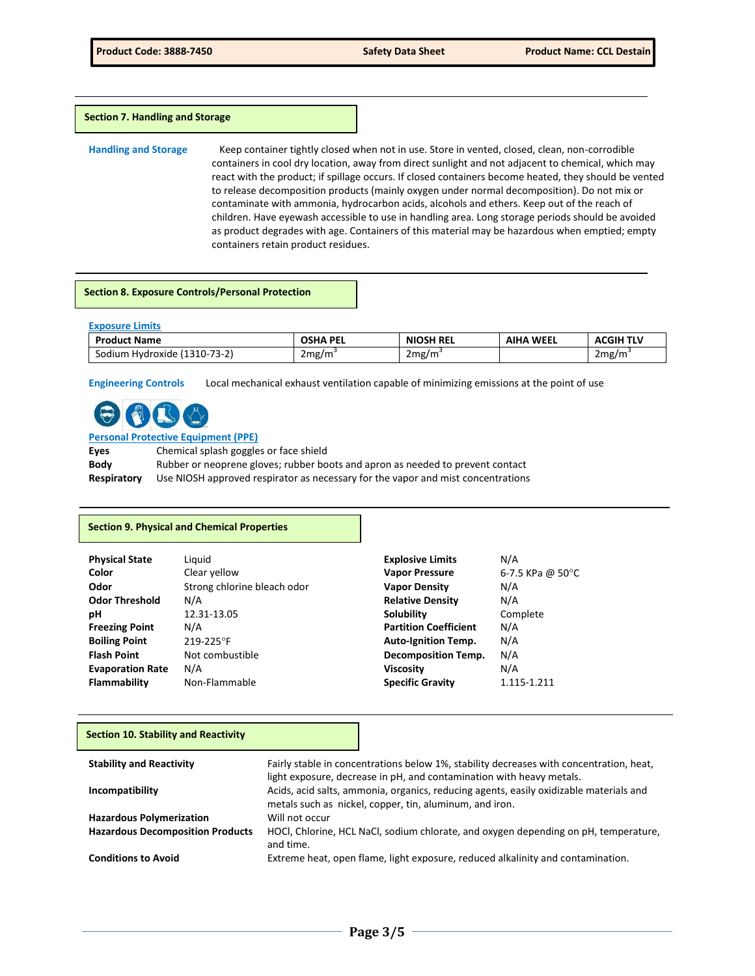#### **Section 7. Handling and Storage**

**Handling and Storage** Keep container tightly closed when not in use. Store in vented, closed, clean, non-corrodible containers in cool dry location, away from direct sunlight and not adjacent to chemical, which may react with the product; if spillage occurs. If closed containers become heated, they should be vented to release decomposition products (mainly oxygen under normal decomposition). Do not mix or contaminate with ammonia, hydrocarbon acids, alcohols and ethers. Keep out of the reach of children. Have eyewash accessible to use in handling area. Long storage periods should be avoided as product degrades with age. Containers of this material may be hazardous when emptied; empty containers retain product residues.

#### **Section 8. Exposure Controls/Personal Protection**

| <b>Exposure Limits</b>       |                 |                  |                  |                  |
|------------------------------|-----------------|------------------|------------------|------------------|
| <b>Product Name</b>          | <b>OSHA PEL</b> | <b>NIOSH REL</b> | <b>AIHA WEEL</b> | <b>ACGIH TLV</b> |
| Sodium Hydroxide (1310-73-2) | 2mg/m           | 2mg/m            |                  | 2mg/m            |

**Engineering Controls** Local mechanical exhaust ventilation capable of minimizing emissions at the point of use



### **Personal Protective Equipment (PPE) Eyes** Chemical splash goggles or face shield **Body** Rubber or neoprene gloves; rubber boots and apron as needed to prevent contact

**Respiratory** Use NIOSH approved respirator as necessary for the vapor and mist concentrations

### **Section 9. Physical and Chemical Properties**

| Liguid<br>Clear yellow<br>Strong chlorine bleach odor<br>N/A<br>12.31-13.05<br>N/A<br>219-225°F<br>Not combustible<br>N/A | <b>Explosive Limits</b><br><b>Vapor Pressure</b><br><b>Vapor Density</b><br><b>Relative Density</b><br>Solubility<br><b>Partition Coefficient</b><br><b>Auto-Ignition Temp.</b><br><b>Decomposition Temp.</b><br><b>Viscosity</b> | N/A<br>6-7.5 KPa @ 50 $^{\circ}$ C<br>N/A<br>N/A<br>Complete<br>N/A<br>N/A<br>N/A<br>N/A |
|---------------------------------------------------------------------------------------------------------------------------|-----------------------------------------------------------------------------------------------------------------------------------------------------------------------------------------------------------------------------------|------------------------------------------------------------------------------------------|
| Non-Flammable                                                                                                             | <b>Specific Gravity</b>                                                                                                                                                                                                           | 1.115-1.211                                                                              |
|                                                                                                                           |                                                                                                                                                                                                                                   |                                                                                          |

## **Section 10. Stability and Reactivity**

| <b>Stability and Reactivity</b>         | Fairly stable in concentrations below 1%, stability decreases with concentration, heat,<br>light exposure, decrease in pH, and contamination with heavy metals. |
|-----------------------------------------|-----------------------------------------------------------------------------------------------------------------------------------------------------------------|
| Incompatibility                         | Acids, acid salts, ammonia, organics, reducing agents, easily oxidizable materials and<br>metals such as nickel, copper, tin, aluminum, and iron.               |
| <b>Hazardous Polymerization</b>         | Will not occur                                                                                                                                                  |
| <b>Hazardous Decomposition Products</b> | HOCI, Chlorine, HCL NaCI, sodium chlorate, and oxygen depending on pH, temperature,<br>and time.                                                                |
| <b>Conditions to Avoid</b>              | Extreme heat, open flame, light exposure, reduced alkalinity and contamination.                                                                                 |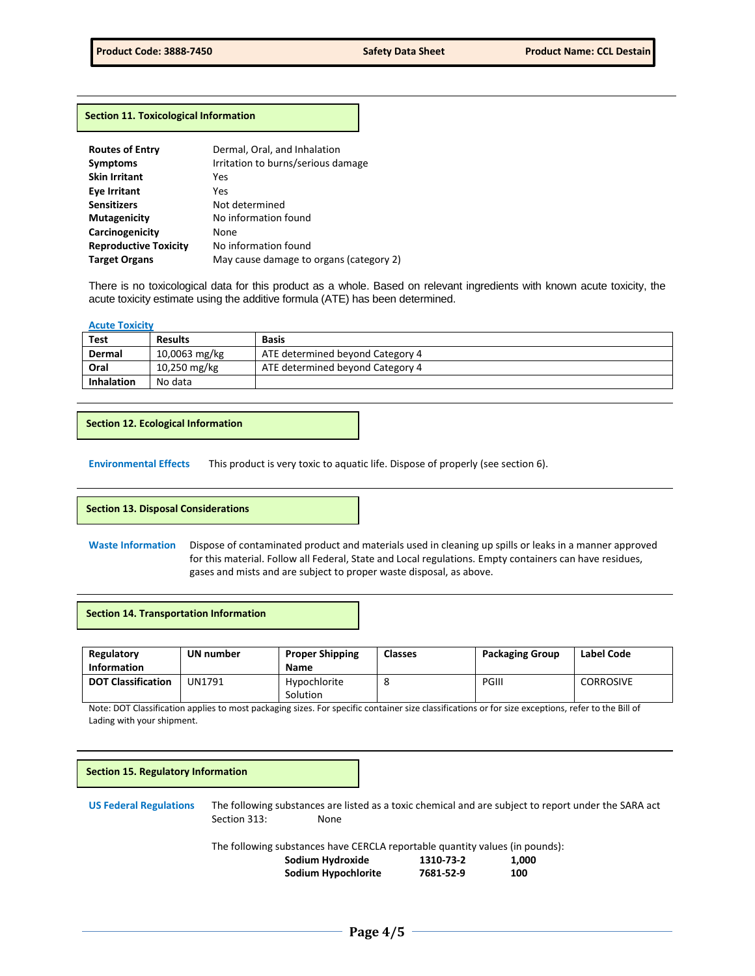#### **Section 11. Toxicological Information**

| Dermal, Oral, and Inhalation            |
|-----------------------------------------|
| Irritation to burns/serious damage      |
| Yes                                     |
| Yes                                     |
| Not determined                          |
| No information found                    |
| None                                    |
| No information found                    |
| May cause damage to organs (category 2) |
|                                         |

There is no toxicological data for this product as a whole. Based on relevant ingredients with known acute toxicity, the acute toxicity estimate using the additive formula (ATE) has been determined.

#### **Acute Toxicity**

| Test              | <b>Results</b> | <b>Basis</b>                     |
|-------------------|----------------|----------------------------------|
| Dermal            | 10,0063 mg/kg  | ATE determined beyond Category 4 |
| Oral              | 10,250 mg/kg   | ATE determined beyond Category 4 |
| <b>Inhalation</b> | No data        |                                  |

## **Section 12. Ecological Information**

**Environmental Effects** This product is very toxic to aquatic life. Dispose of properly (see section 6).

### **Section 13. Disposal Considerations**

**Waste Information** Dispose of contaminated product and materials used in cleaning up spills or leaks in a manner approved for this material. Follow all Federal, State and Local regulations. Empty containers can have residues, gases and mists and are subject to proper waste disposal, as above.

#### **Section 14. Transportation Information**

| Regulatory<br><b>Information</b> | UN number | <b>Proper Shipping</b><br><b>Name</b> | <b>Classes</b> | <b>Packaging Group</b> | Label Code       |
|----------------------------------|-----------|---------------------------------------|----------------|------------------------|------------------|
| <b>DOT Classification</b>        | UN1791    | Hypochlorite<br>Solution              | $\circ$        | <b>PGIII</b>           | <b>CORROSIVE</b> |

Note: DOT Classification applies to most packaging sizes. For specific container size classifications or for size exceptions, refer to the Bill of Lading with your shipment.

# **US Federal Regulations** The following substances are listed as a toxic chemical and are subject to report under the SARA act Section 313: None The following substances have CERCLA reportable quantity values (in pounds): **Sodium Hydroxide 1310-73-2 1,000 Sodium Hypochlorite Section 15. Regulatory Information**